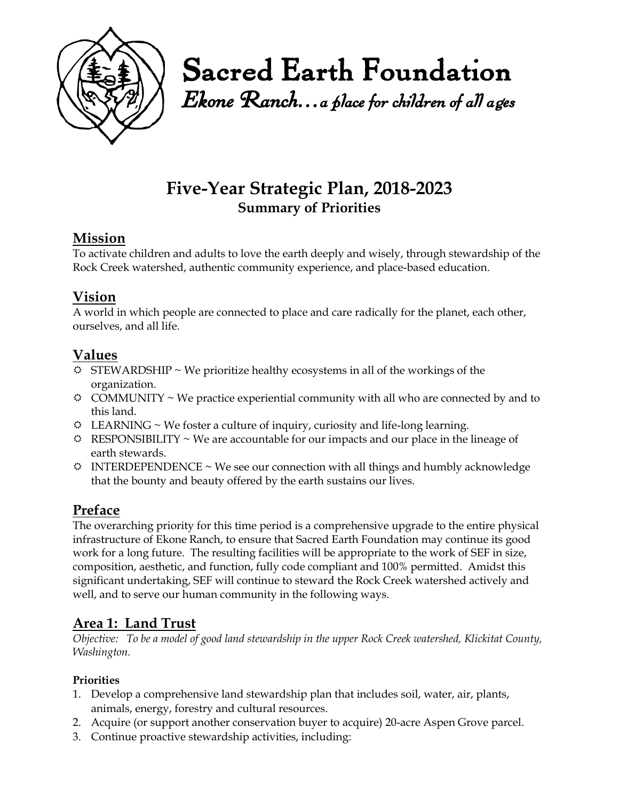

Sacred Earth Foundation

*Ekone Ranch…a place for children of all ages* 

# **Five-Year Strategic Plan, 2018-2023 Summary of Priorities**

### **Mission**

To activate children and adults to love the earth deeply and wisely, through stewardship of the Rock Creek watershed, authentic community experience, and place-based education.

## **Vision**

A world in which people are connected to place and care radically for the planet, each other, ourselves, and all life.

### **Values**

- $\hat{\varphi}$  STEWARDSHIP ~ We prioritize healthy ecosystems in all of the workings of the organization.
- $\circ$  COMMUNITY ~ We practice experiential community with all who are connected by and to this land.
- $\ddot{\phi}$  LEARNING ~ We foster a culture of inquiry, curiosity and life-long learning.
- $\Leftrightarrow$  RESPONSIBILITY ~ We are accountable for our impacts and our place in the lineage of earth stewards.
- $\odot$  INTERDEPENDENCE ~ We see our connection with all things and humbly acknowledge that the bounty and beauty offered by the earth sustains our lives.

# **Preface**

The overarching priority for this time period is a comprehensive upgrade to the entire physical infrastructure of Ekone Ranch, to ensure that Sacred Earth Foundation may continue its good work for a long future. The resulting facilities will be appropriate to the work of SEF in size, composition, aesthetic, and function, fully code compliant and 100% permitted. Amidst this significant undertaking, SEF will continue to steward the Rock Creek watershed actively and well, and to serve our human community in the following ways.

## **Area 1: Land Trust**

*Objective: To be a model of good land stewardship in the upper Rock Creek watershed, Klickitat County, Washington.* 

### **Priorities**

- 1. Develop a comprehensive land stewardship plan that includes soil, water, air, plants, animals, energy, forestry and cultural resources.
- 2. Acquire (or support another conservation buyer to acquire) 20-acre Aspen Grove parcel.
- 3. Continue proactive stewardship activities, including: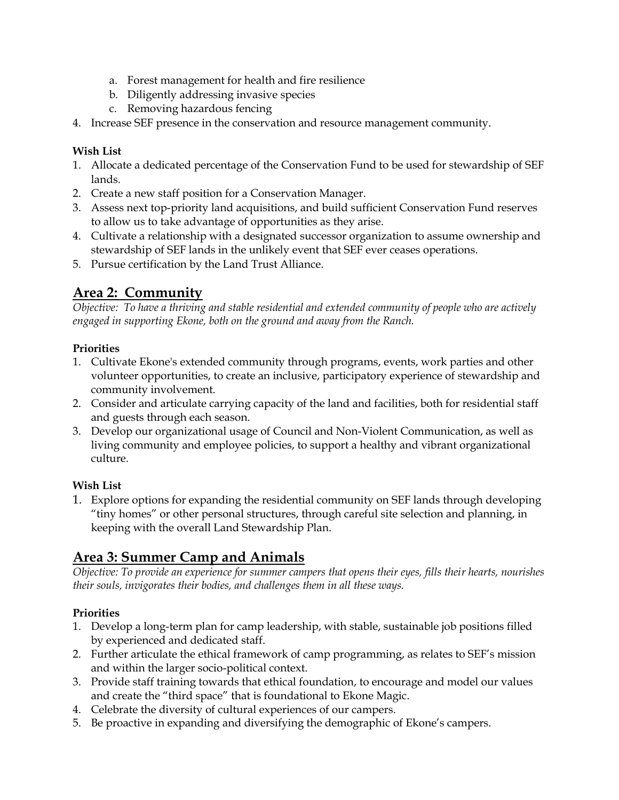- a. Forest management for health and fire resilience
- b. Diligently addressing invasive species
- c. Removing hazardous fencing
- 4. Increase SEF presence in the conservation and resource management community.

#### **Wish List**

- 1. Allocate a dedicated percentage of the Conservation Fund to be used for stewardship of SEF lands.
- 2. Create a new staff position for a Conservation Manager.
- 3. Assess next top-priority land acquisitions, and build sufficient Conservation Fund reserves to allow us to take advantage of opportunities as they arise.
- 4. Cultivate a relationship with a designated successor organization to assume ownership and stewardship of SEF lands in the unlikely event that SEF ever ceases operations.
- 5. Pursue certification by the Land Trust Alliance.

# **Area 2: Community**

*Objective: To have a thriving and stable residential and extended community of people who are actively engaged in supporting Ekone, both on the ground and away from the Ranch.*

#### **Priorities**

- 1. Cultivate Ekone's extended community through programs, events, work parties and other volunteer opportunities, to create an inclusive, participatory experience of stewardship and community involvement.
- 2. Consider and articulate carrying capacity of the land and facilities, both for residential staff and guests through each season.
- 3. Develop our organizational usage of Council and Non-Violent Communication, as well as living community and employee policies, to support a healthy and vibrant organizational culture.

#### **Wish List**

1. Explore options for expanding the residential community on SEF lands through developing "tiny homes" or other personal structures, through careful site selection and planning, in keeping with the overall Land Stewardship Plan.

## **Area 3: Summer Camp and Animals**

*Objective: To provide an experience for summer campers that opens their eyes, fills their hearts, nourishes their souls, invigorates their bodies, and challenges them in all these ways.*

### **Priorities**

- 1. Develop a long-term plan for camp leadership, with stable, sustainable job positions filled by experienced and dedicated staff.
- 2. Further articulate the ethical framework of camp programming, as relates to SEF's mission and within the larger socio-political context.
- 3. Provide staff training towards that ethical foundation, to encourage and model our values and create the "third space" that is foundational to Ekone Magic.
- 4. Celebrate the diversity of cultural experiences of our campers.
- 5. Be proactive in expanding and diversifying the demographic of Ekone's campers.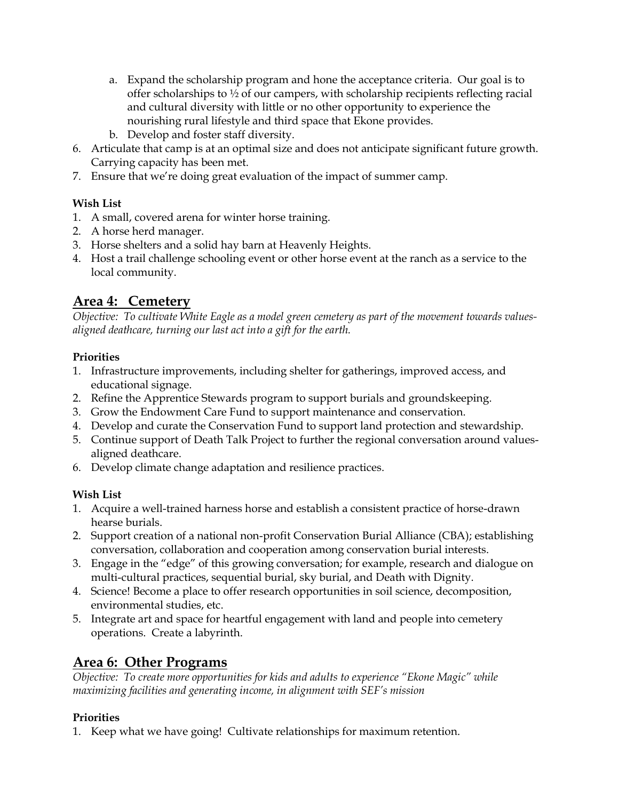- a. Expand the scholarship program and hone the acceptance criteria. Our goal is to offer scholarships to  $\frac{1}{2}$  of our campers, with scholarship recipients reflecting racial and cultural diversity with little or no other opportunity to experience the nourishing rural lifestyle and third space that Ekone provides.
- b. Develop and foster staff diversity.
- 6. Articulate that camp is at an optimal size and does not anticipate significant future growth. Carrying capacity has been met.
- 7. Ensure that we're doing great evaluation of the impact of summer camp.

#### **Wish List**

- 1. A small, covered arena for winter horse training.
- 2. A horse herd manager.
- 3. Horse shelters and a solid hay barn at Heavenly Heights.
- 4. Host a trail challenge schooling event or other horse event at the ranch as a service to the local community.

### **Area 4: Cemetery**

*Objective: To cultivate White Eagle as a model green cemetery as part of the movement towards valuesaligned deathcare, turning our last act into a gift for the earth.* 

#### **Priorities**

- 1. Infrastructure improvements, including shelter for gatherings, improved access, and educational signage.
- 2. Refine the Apprentice Stewards program to support burials and groundskeeping.
- 3. Grow the Endowment Care Fund to support maintenance and conservation.
- 4. Develop and curate the Conservation Fund to support land protection and stewardship.
- 5. Continue support of Death Talk Project to further the regional conversation around valuesaligned deathcare.
- 6. Develop climate change adaptation and resilience practices.

### **Wish List**

- 1. Acquire a well-trained harness horse and establish a consistent practice of horse-drawn hearse burials.
- 2. Support creation of a national non-profit Conservation Burial Alliance (CBA); establishing conversation, collaboration and cooperation among conservation burial interests.
- 3. Engage in the "edge" of this growing conversation; for example, research and dialogue on multi-cultural practices, sequential burial, sky burial, and Death with Dignity.
- 4. Science! Become a place to offer research opportunities in soil science, decomposition, environmental studies, etc.
- 5. Integrate art and space for heartful engagement with land and people into cemetery operations. Create a labyrinth.

# **Area 6: Other Programs**

*Objective: To create more opportunities for kids and adults to experience "Ekone Magic" while maximizing facilities and generating income, in alignment with SEF's mission*

### **Priorities**

1. Keep what we have going! Cultivate relationships for maximum retention.